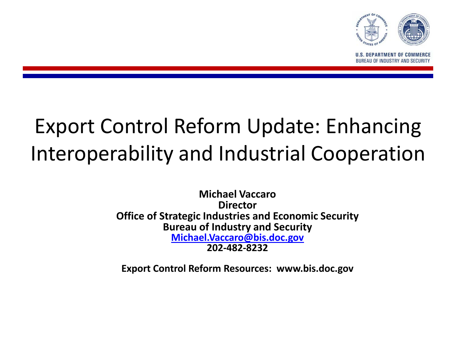

**U.S. DEPARTMENT OF COMMER BUREAU OF INDUSTRY AND SECURIT** 

# Export Control Reform Update: Enhancing Interoperability and Industrial Cooperation

**Michael Vaccaro Director Office of Strategic Industries and Economic Security Bureau of Industry and Security [Michael.Vaccaro@bis.doc.gov](mailto:Michael.Vaccaro@bis.doc.gov) 202-482-8232**

**Export Control Reform Resources: www.bis.doc.gov**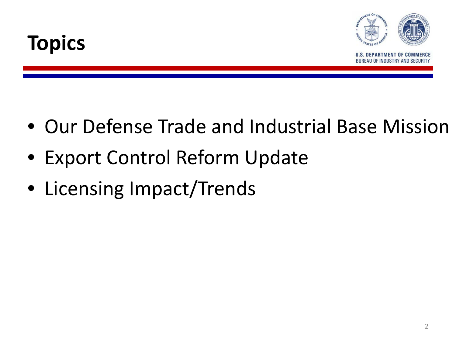



- Our Defense Trade and Industrial Base Mission
- Export Control Reform Update
- Licensing Impact/Trends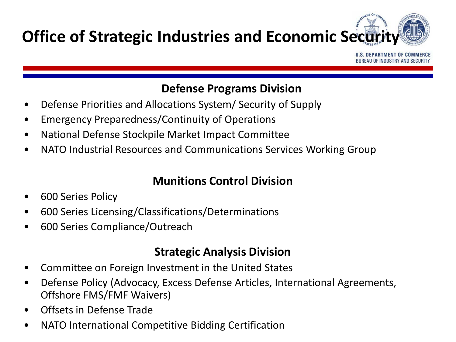

U.S. DEPARTMENT OF COMM **BUREAU OF INDUSTRY AND SECU** 

### **Defense Programs Division**

- Defense Priorities and Allocations System/ Security of Supply
- Emergency Preparedness/Continuity of Operations
- National Defense Stockpile Market Impact Committee
- NATO Industrial Resources and Communications Services Working Group

### **Munitions Control Division**

- 600 Series Policy
- 600 Series Licensing/Classifications/Determinations
- 600 Series Compliance/Outreach

### **Strategic Analysis Division**

- Committee on Foreign Investment in the United States
- Defense Policy (Advocacy, Excess Defense Articles, International Agreements, Offshore FMS/FMF Waivers)
- Offsets in Defense Trade
- NATO International Competitive Bidding Certification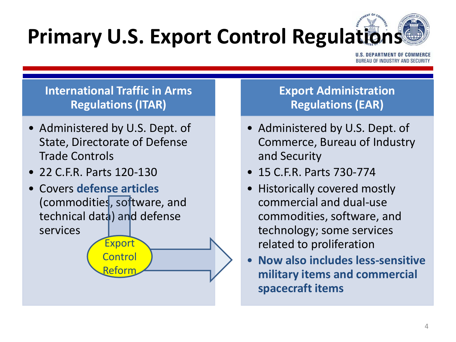# **Primary U.S. Export Control Regulations**

U.S. DEPARTMENT OF COM **BUREAU OF INDUSTRY AND SECUR** 

### **International Traffic in Arms Regulations (ITAR)**

- Administered by U.S. Dept. of State, Directorate of Defense Trade Controls
- 22 C.F.R. Parts 120-130
- Covers **defense articles**  (commodities, software, and technical data) and defense services Export

**Control** 

Refori

### **Export Administration Regulations (EAR)**

- Administered by U.S. Dept. of Commerce, Bureau of Industry and Security
- 15 C.F.R. Parts 730-774
- Historically covered mostly commercial and dual-use commodities, software, and technology; some services related to proliferation
- **Now also includes less-sensitive military items and commercial spacecraft items**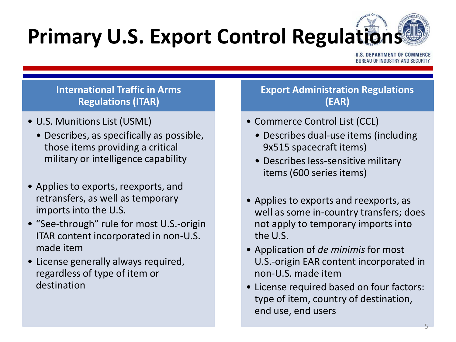# **Primary U.S. Export Control Regulations**

.S. DEPARTMENT OF COMME **BUREAU OF INDUSTRY AND SECURI** 

#### **International Traffic in Arms Regulations (ITAR)**

- U.S. Munitions List (USML)
	- Describes, as specifically as possible, those items providing a critical military or intelligence capability
- Applies to exports, reexports, and retransfers, as well as temporary imports into the U.S.
- "See-through" rule for most U.S.-origin ITAR content incorporated in non-U.S. made item
- License generally always required, regardless of type of item or destination

#### **Export Administration Regulations (EAR)**

- Commerce Control List (CCL)
	- Describes dual-use items (including 9x515 spacecraft items)
	- Describes less-sensitive military items (600 series items)
- Applies to exports and reexports, as well as some in-country transfers; does not apply to temporary imports into the U.S.
- Application of *de minimis* for most U.S.-origin EAR content incorporated in non-U.S. made item
- License required based on four factors: type of item, country of destination, end use, end users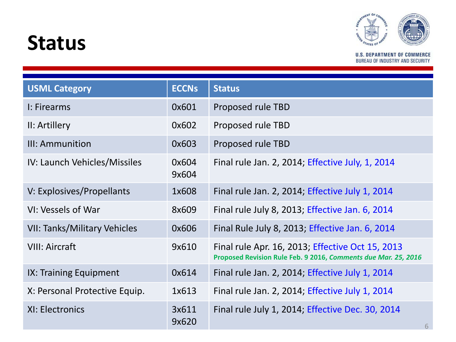### **Status**



**U.S. DEPARTMENT OF COMMERCE BUREAU OF INDUSTRY AND SECURITY** 

| <b>USML Category</b>                | <b>ECCNs</b>   | <b>Status</b>                                                                                                      |
|-------------------------------------|----------------|--------------------------------------------------------------------------------------------------------------------|
| I: Firearms                         | 0x601          | Proposed rule TBD                                                                                                  |
| II: Artillery                       | 0x602          | Proposed rule TBD                                                                                                  |
| III: Ammunition                     | 0x603          | Proposed rule TBD                                                                                                  |
| IV: Launch Vehicles/Missiles        | 0x604<br>9x604 | Final rule Jan. 2, 2014; Effective July, 1, 2014                                                                   |
| V: Explosives/Propellants           | 1x608          | Final rule Jan. 2, 2014; Effective July 1, 2014                                                                    |
| VI: Vessels of War                  | 8x609          | Final rule July 8, 2013; Effective Jan. 6, 2014                                                                    |
| <b>VII: Tanks/Military Vehicles</b> | 0x606          | Final Rule July 8, 2013; Effective Jan. 6, 2014                                                                    |
| <b>VIII: Aircraft</b>               | 9x610          | Final rule Apr. 16, 2013; Effective Oct 15, 2013<br>Proposed Revision Rule Feb. 9 2016, Comments due Mar. 25, 2016 |
| IX: Training Equipment              | 0x614          | Final rule Jan. 2, 2014; Effective July 1, 2014                                                                    |
| X: Personal Protective Equip.       | 1x613          | Final rule Jan. 2, 2014; Effective July 1, 2014                                                                    |
| XI: Electronics                     | 3x611<br>9x620 | Final rule July 1, 2014; Effective Dec. 30, 2014<br>6                                                              |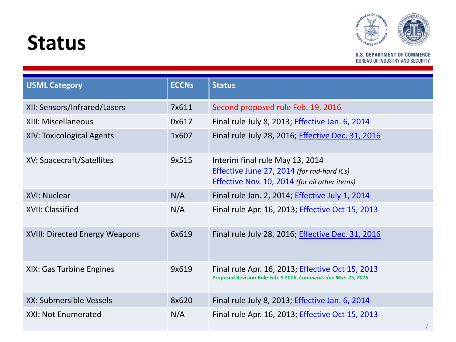### **Status**



**U.S. DEPARTMENT OF COMMERCE BUREAU OF INDUSTRY AND SECURITY** 

| <b>USML Category</b>           | <b>ECCNs</b> | <b>Status</b>                                                                                                                  |  |  |
|--------------------------------|--------------|--------------------------------------------------------------------------------------------------------------------------------|--|--|
| XII: Sensors/Infrared/Lasers   | 7x611        | Second proposed rule Feb. 19, 2016                                                                                             |  |  |
| <b>XIII: Miscellaneous</b>     | 0x617        | Final rule July 8, 2013; Effective Jan. 6, 2014                                                                                |  |  |
| XIV: Toxicological Agents      | 1x607        | Final rule July 28, 2016; Effective Dec. 31, 2016                                                                              |  |  |
| XV: Spacecraft/Satellites      | 9x515        | Interim final rule May 13, 2014<br>Effective June 27, 2014 (for rad-hard ICs)<br>Effective Nov. 10, 2014 (for all other items) |  |  |
| XVI: Nuclear                   | N/A          | Final rule Jan. 2, 2014; Effective July 1, 2014                                                                                |  |  |
| XVII: Classified               | N/A          | Final rule Apr. 16, 2013; Effective Oct 15, 2013                                                                               |  |  |
| XVIII: Directed Energy Weapons | 6x619        | Final rule July 28, 2016; <i>Effective Dec. 31, 2016</i>                                                                       |  |  |
| XIX: Gas Turbine Engines       | 9x619        | Final rule Apr. 16, 2013; Effective Oct 15, 2013<br>Proposed Revision Rule Feb. 9 2016, Comments due Mar. 25, 2016             |  |  |
| XX: Submersible Vessels        | 8x620        | Final rule July 8, 2013; Effective Jan. 6, 2014                                                                                |  |  |
| XXI: Not Enumerated            | N/A          | Final rule Apr. 16, 2013; Effective Oct 15, 2013<br>$\overline{\phantom{0}}$                                                   |  |  |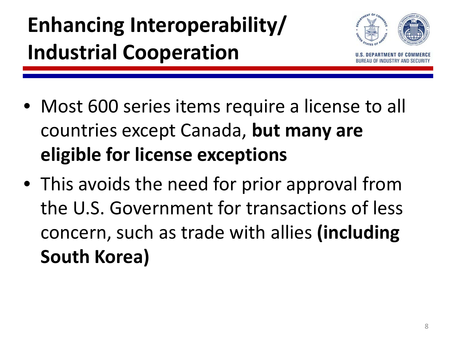# **Enhancing Interoperability/ Industrial Cooperation**



- Most 600 series items require a license to all countries except Canada, **but many are eligible for license exceptions**
- This avoids the need for prior approval from the U.S. Government for transactions of less concern, such as trade with allies **(including South Korea)**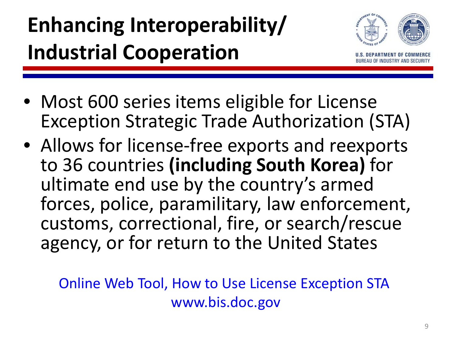# **Enhancing Interoperability/ Industrial Cooperation**



- Most 600 series items eligible for License Exception Strategic Trade Authorization (STA)
- Allows for license-free exports and reexports to 36 countries **(including South Korea)** for ultimate end use by the country's armed forces, police, paramilitary, law enforcement, customs, correctional, fire, or search/rescue agency, or for return to the United States

Online Web Tool, How to Use License Exception STA www.bis.doc.gov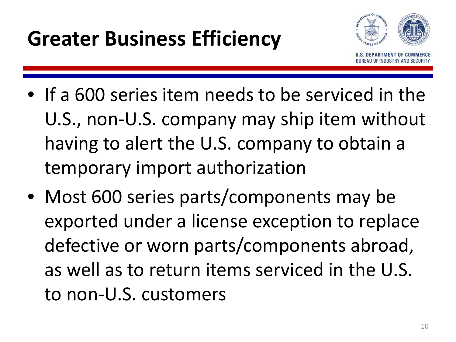

- If a 600 series item needs to be serviced in the U.S., non-U.S. company may ship item without having to alert the U.S. company to obtain a temporary import authorization
- Most 600 series parts/components may be exported under a license exception to replace defective or worn parts/components abroad, as well as to return items serviced in the U.S. to non-U.S. customers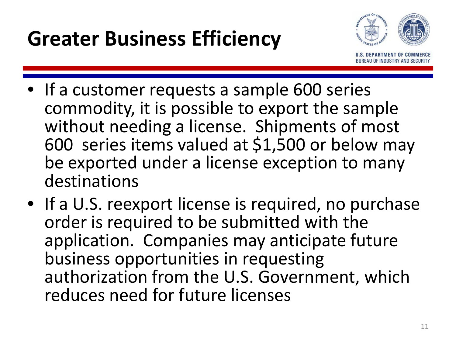

- If a customer requests a sample 600 series commodity, it is possible to export the sample without needing a license. Shipments of most 600 series items valued at \$1,500 or below may be exported under a license exception to many destinations
- If a U.S. reexport license is required, no purchase order is required to be submitted with the application. Companies may anticipate future business opportunities in requesting authorization from the U.S. Government, which reduces need for future licenses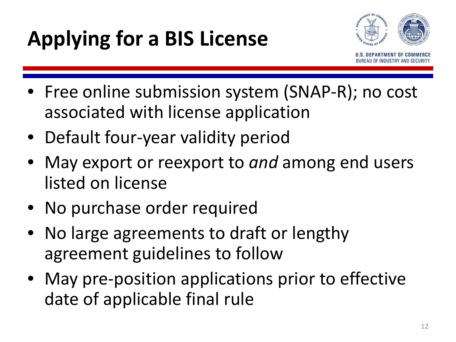# **Applying for a BIS License**



- Free online submission system (SNAP-R); no cost associated with license application
- Default four-year validity period
- May export or reexport to *and* among end users listed on license
- No purchase order required
- No large agreements to draft or lengthy agreement guidelines to follow
- May pre-position applications prior to effective date of applicable final rule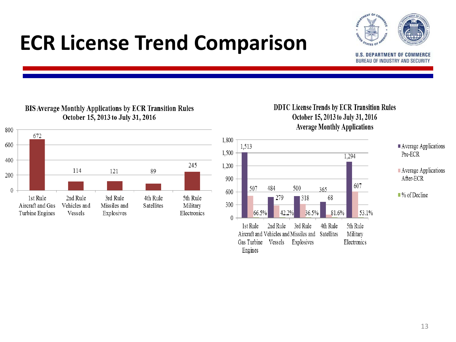### **ECR License Trend Comparison**



**U.S. DEPARTMENT OF COMMERCE** BUREAU OF INDUSTRY AND SECURITY



#### **BIS Average Monthly Applications by ECR Transition Rules** October 15, 2013 to July 31, 2016

#### **DDTC License Trends by ECR Transition Rules** October 15, 2013 to July 31, 2016 **Average Monthly Applications**



#### $\blacksquare$  Average Applications Pre-ECR

Average Applications After-ECR

 $\blacksquare$ % of Decline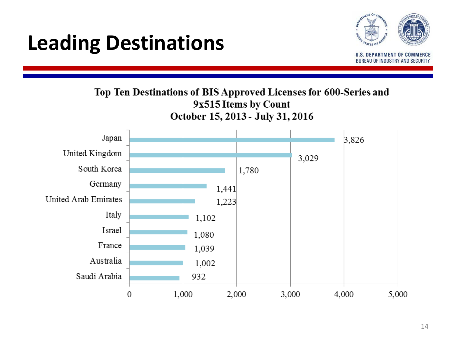### **Leading Destinations**



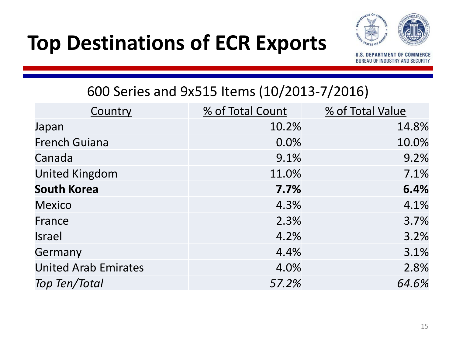## **Top Destinations of ECR Exports**



**U.S. DEPARTMENT OF COMMERCE** BUREAU OF INDUSTRY AND SECURITY

### 600 Series and 9x515 Items (10/2013-7/2016)

| Country                     | % of Total Count | % of Total Value |
|-----------------------------|------------------|------------------|
| Japan                       | 10.2%            | 14.8%            |
| <b>French Guiana</b>        | 0.0%             | 10.0%            |
| Canada                      | 9.1%             | 9.2%             |
| <b>United Kingdom</b>       | 11.0%            | 7.1%             |
| <b>South Korea</b>          | 7.7%             | 6.4%             |
| <b>Mexico</b>               | 4.3%             | 4.1%             |
| France                      | 2.3%             | 3.7%             |
| <b>Israel</b>               | 4.2%             | 3.2%             |
| Germany                     | 4.4%             | 3.1%             |
| <b>United Arab Emirates</b> | 4.0%             | 2.8%             |
| <b>Top Ten/Total</b>        | 57.2%            | 64.6%            |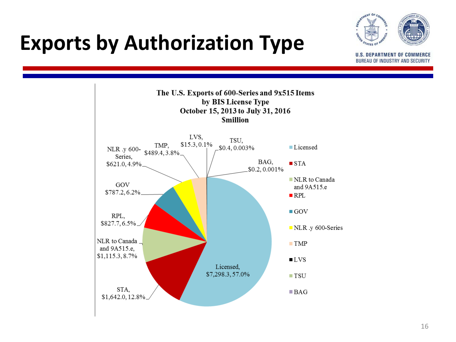### **Exports by Authorization Type**



**U.S. DEPARTMENT OF COMMERCE** BUREAU OF INDUSTRY AND SECURITY

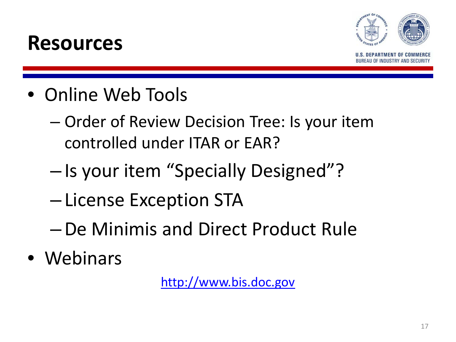



**ARTMENT OF COM** EAU OF INDUSTRY AND SECU

- Online Web Tools
	- Order of Review Decision Tree: Is your item controlled under ITAR or EAR?
	- Is your item "Specially Designed"?
	- License Exception STA
	- –De Minimis and Direct Product Rule
- Webinars

http://www.bis.doc.gov